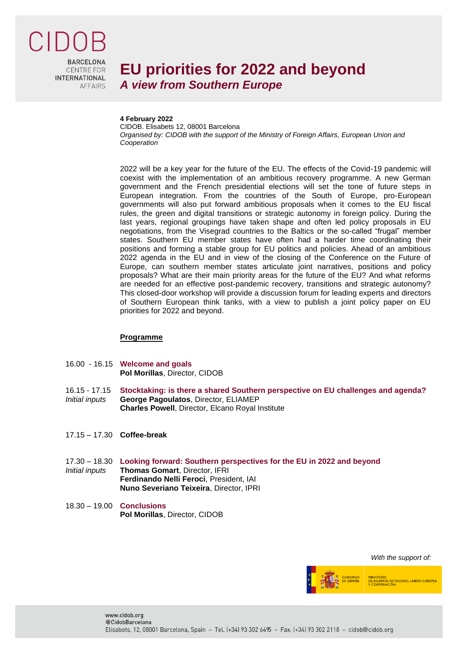

**RARCELONA CENTRE FOR INTERNATIONAL AFFAIRS** 

## **EU priorities for 2022 and beyond** *A view from Southern Europe*

## **4 February 2022**

CIDOB. Elisabets 12, 08001 Barcelona *Organised by: CIDOB with the support of the Ministry of Foreign Affairs, European Union and Cooperation*

2022 will be a key year for the future of the EU. The effects of the Covid-19 pandemic will coexist with the implementation of an ambitious recovery programme. A new German government and the French presidential elections will set the tone of future steps in European integration. From the countries of the South of Europe, pro-European governments will also put forward ambitious proposals when it comes to the EU fiscal rules, the green and digital transitions or strategic autonomy in foreign policy. During the last years, regional groupings have taken shape and often led policy proposals in EU negotiations, from the Visegrad countries to the Baltics or the so-called "frugal" member states. Southern EU member states have often had a harder time coordinating their positions and forming a stable group for EU politics and policies. Ahead of an ambitious 2022 agenda in the EU and in view of the closing of the Conference on the Future of Europe, can southern member states articulate joint narratives, positions and policy proposals? What are their main priority areas for the future of the EU? And what reforms are needed for an effective post-pandemic recovery, transitions and strategic autonomy? This closed-door workshop will provide a discussion forum for leading experts and directors of Southern European think tanks, with a view to publish a joint policy paper on EU priorities for 2022 and beyond.

## **Programme**

- 16.00 16.15 **Welcome and goals Pol Morillas**, Director, CIDOB
- 16.15 17.15 **Stocktaking: is there a shared Southern perspective on EU challenges and agenda?** *Initial inputs* **George Pagoulatos**, Director, ELIAMEP **Charles Powell**, Director, Elcano Royal Institute
- 17.15 17.30 **Coffee-break**
- 17.30 18.30 **Looking forward: Southern perspectives for the EU in 2022 and beyond** *Initial inputs* **Thomas Gomart**, Director, IFRI **Ferdinando Nelli Feroci**, President, IAI
	- **Nuno Severiano Teixeira**, Director, IPRI
- 18.30 19.00 **Conclusions Pol Morillas**, Director, CIDOB





MINISTERIO<br>DE ASUNTOS EXTERIORES, UNIÓN EUROPEA<br>Y COOPERACIÓN